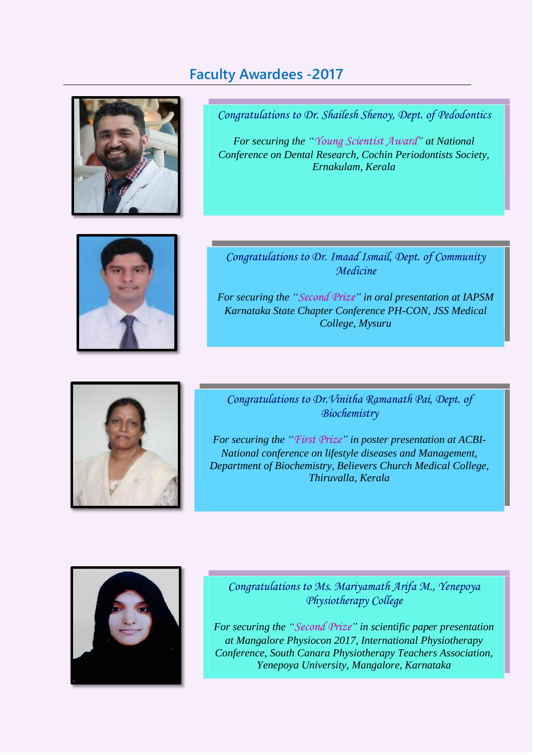

**Faculty Awardees -2017**

*Congratulations to Dr. Shailesh Shenoy, Dept. of Pedodontics*

*For securing the "Young Scientist Award" at National Conference on Dental Research, Cochin Periodontists Society, Ernakulam, Kerala*



*Congratulations to Dr. Imaad Ismail, Dept. of Community Medicine*

*For securing the "Second Prize" in oral presentation at IAPSM Karnataka State Chapter Conference PH-CON, JSS Medical College, Mysuru*



*Congratulations to Dr.Vinitha Ramanath Pai, Dept. of Biochemistry*

*For securing the "First Prize" in poster presentation at ACBI-National conference on lifestyle diseases and Management, Department of Biochemistry, Believers Church Medical College, Thiruvalla, Kerala*



*Congratulations to Ms. Mariyamath Arifa M., Yenepoya Physiotherapy College*

*For securing the "Second Prize" in scientific paper presentation at Mangalore Physiocon 2017, International Physiotherapy Conference, South Canara Physiotherapy Teachers Association, Yenepoya University, Mangalore, Karnataka*